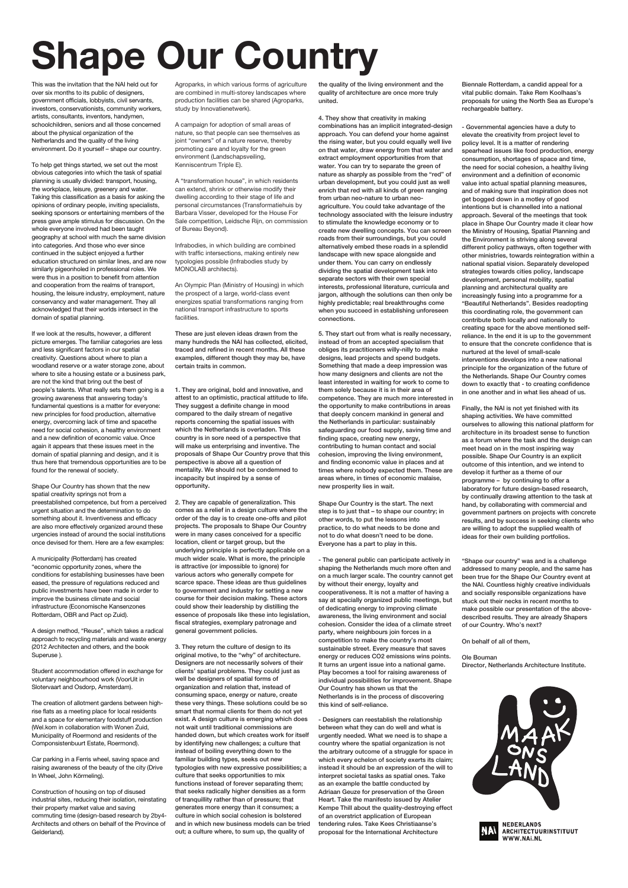This was the invitation that the NAI held out for over six months to its public of designers, government officials, lobbyists, civil servants, investors, conservationists, community workers, artists, consultants, inventors, handymen, schoolchildren, seniors and all those concerned about the physical organization of the Netherlands and the quality of the living environment. Do it yourself – shape our country.

To help get things started, we set out the most obvious categories into which the task of spatial planning is usually divided: transport, housing, the workplace, leisure, greenery and water. Taking this classification as a basis for asking the opinions of ordinary people, inviting specialists, seeking sponsors or entertaining members of the press gave ample stimulus for discussion. On the whole everyone involved had been taught geography at school with much the same division into categories. And those who ever since continued in the subject enjoyed a further education structured on similar lines, and are now similarly pigeonholed in professional roles. We were thus in a position to benefit from attention and cooperation from the realms of transport, housing, the leisure industry, employment, nature conservancy and water management. They all acknowledged that their worlds intersect in the domain of spatial planning.

If we look at the results, however, a different picture emerges. The familiar categories are less and less significant factors in our spatial creativity. Questions about where to plan a woodland reserve or a water storage zone, about where to site a housing estate or a business park, are not the kind that bring out the best of people's talents. What really sets them going is a growing awareness that answering today's fundamental questions is a matter for everyone: new principles for food production, alternative energy, overcoming lack of time and spacethe need for social cohesion, a healthy environment and a new definition of economic value. Once again it appears that these issues meet in the domain of spatial planning and design, and it is thus here that tremendous opportunities are to be found for the renewal of society.

Shape Our Country has shown that the new spatial creativity springs not from a preestablished competence, but from a perceived urgent situation and the determination to do something about it. Inventiveness and efficacy are also more effectively organized around these urgencies instead of around the social institutions once devised for them. Here are a few examples:

A municipality (Rotterdam) has created "economic opportunity zones, where the conditions for establishing businesses have been eased, the pressure of regulations reduced and public investments have been made in order to improve the business climate and social infrastructure (Economische Kansenzones Rotterdam, OBR and Pact op Zuid).

A design method, "Reuse", which takes a radical approach to recycling materials and waste energy (2012 Architecten and others, and the book Superuse ).

Student accommodation offered in exchange for voluntary neighbourhood work (VoorUit in Slotervaart and Osdorp, Amsterdam).

The creation of allotment gardens between highrise flats as a meeting place for local residents and a space for elementary foodstuff production (Wel.kom in collaboration with Wonen Zuid, Municipality of Roermond and residents of the Componsistenbuurt Estate, Roermond).

Car parking in a Ferris wheel, saving space and raising awareness of the beauty of the city (Drive In Wheel, John Körmeling).

Construction of housing on top of disused industrial sites, reducing their isolation, reinstating their property market value and saving commuting time (design-based research by 2by4- Architects and others on behalf of the Province of Gelderland).

Agroparks, in which various forms of agriculture are combined in multi-storey landscapes where production facilities can be shared (Agroparks, study by Innovatienetwerk).

A campaign for adoption of small areas of nature, so that people can see themselves as joint "owners" of a nature reserve, thereby promoting care and loyalty for the green environment (Landschapsveiling, Kenniscentrum Triple E).

A "transformation house", in which residents can extend, shrink or otherwise modify their dwelling according to their stage of life and personal circumstances (Transformatiehuis by Barbara Visser, developed for the House For Sale competition, Leidsche Rijn, on commission of Bureau Beyond).

Infrabodies, in which building are combined with traffic intersections, making entirely new typologies possible (Infrabodies study by MONOLAB architects).

An Olympic Plan (Ministry of Housing) in which the prospect of a large, world-class event energizes spatial transformations ranging from national transport infrastructure to sports facilities.

These are just eleven ideas drawn from the many hundreds the NAI has collected, elicited, traced and refined in recent months. All these examples, different though they may be, have certain traits in common.

1. They are original, bold and innovative, and attest to an optimistic, practical attitude to life. They suggest a definite change in mood compared to the daily stream of negative reports concerning the spatial issues with which the Netherlands is overladen. This country is in sore need of a perspective that will make us enterprising and inventive. The proposals of Shape Our Country prove that this perspective is above all a question of mentality. We should not be condemned to incapacity but inspired by a sense of opportunity.

2. They are capable of generalization. This comes as a relief in a design culture where the order of the day is to create one-offs and pilot projects. The proposals to Shape Our Country were in many cases conceived for a specific location, client or target group, but the underlying principle is perfectly applicable on a much wider scale. What is more, the principle is attractive (or impossible to ignore) for various actors who generally compete for scarce space. These ideas are thus guidelines to government and industry for setting a new course for their decision making. These actors could show their leadership by distilling the essence of proposals like these into legislation, fiscal strategies, exemplary patronage and general government policies.

3. They return the culture of design to its original motive, to the "why" of architecture. Designers are not necessarily solvers of their clients' spatial problems. They could just as well be designers of spatial forms of organization and relation that, instead of consuming space, energy or nature, create these very things. These solutions could be so smart that normal clients for them do not yet exist. A design culture is emerging which does not wait until traditional commissions are handed down, but which creates work for itself by identifying new challenges; a culture that instead of boiling everything down to the familiar building types, seeks out new typologies with new expressive possibilities; a culture that seeks opportunities to mix functions instead of forever separating them; that seeks radically higher densities as a form of tranquillity rather than of pressure; that generates more energy than it consumes; a culture in which social cohesion is bolstered and in which new business models can be tried out; a culture where, to sum up, the quality of

the quality of the living environment and the quality of architecture are once more truly united.

4. They show that creativity in making combinations has an implicit integrated-design approach. You can defend your home against the rising water, but you could equally well live on that water, draw energy from that water and extract employment opportunities from that water. You can try to separate the green of nature as sharply as possible from the "red" of urban development, but you could just as well enrich that red with all kinds of green ranging from urban neo-nature to urban neoagriculture. You could take advantage of the technology associated with the leisure industry to stimulate the knowledge economy or to create new dwelling concepts. You can screen roads from their surroundings, but you could alternatively embed these roads in a splendid landscape with new space alongside and under them. You can carry on endlessly dividing the spatial development task into separate sectors with their own special interests, professional literature, curricula and jargon, although the solutions can then only be highly predictable; real breakthroughs come when you succeed in establishing unforeseen connections.

5. They start out from what is really necessary, instead of from an accepted specialism that obliges its practitioners willy-nilly to make designs, lead projects and spend budgets. Something that made a deep impression was how many designers and clients are not the least interested in waiting for work to come to them solely because it is in their area of competence. They are much more interested in the opportunity to make contributions in areas that deeply concern mankind in general and the Netherlands in particular: sustainably safeguarding our food supply, saving time and finding space, creating new energy, contributing to human contact and social cohesion, improving the living environment, and finding economic value in places and at times where nobody expected them. These are areas where, in times of economic malaise, new prosperity lies in wait.

Shape Our Country is the start. The next step is to just that – to shape our country; in other words, to put the lessons into practice, to do what needs to be done and not to do what doesn't need to be done. Everyone has a part to play in this.

- The general public can participate actively in shaping the Netherlands much more often and on a much larger scale. The country cannot get by without their energy, loyalty and cooperativeness. It is not a matter of having a say at specially organized public meetings, but of dedicating energy to improving climate awareness, the living environment and social cohesion. Consider the idea of a climate street party, where neighbours join forces in a competition to make the country's most sustainable street. Every measure that saves energy or reduces CO2 emissions wins points. It turns an urgent issue into a national game. Play becomes a tool for raising awareness of individual possibilities for improvement. Shape Our Country has shown us that the Netherlands is in the process of discovering this kind of self-reliance.

- Designers can reestablish the relationship between what they can do well and what is urgently needed. What we need is to shape a country where the spatial organization is not the arbitrary outcome of a struggle for space in which every echelon of society exerts its claim; instead it should be an expression of the will to interpret societal tasks as spatial ones. Take as an example the battle conducted by Adriaan Geuze for preservation of the Green Heart. Take the manifesto issued by Atelier Kempe Thill about the quality-destroying effect of an overstrict application of European tendering rules. Take Kees Christiaanse's proposal for the International Architecture





Biennale Rotterdam, a candid appeal for a vital public domain. Take Rem Koolhaas's proposals for using the North Sea as Europe's rechargeable battery.

- Governmental agencies have a duty to elevate the creativity from project level to policy level. It is a matter of rendering spearhead issues like food production, energy consumption, shortages of space and time, the need for social cohesion, a healthy living environment and a definition of economic value into actual spatial planning measures, and of making sure that inspiration does not get bogged down in a motley of good intentions but is channelled into a national approach. Several of the meetings that took place in Shape Our Country made it clear how the Ministry of Housing, Spatial Planning and the Environment is striving along several different policy pathways, often together with other ministries, towards reintegration within a national spatial vision. Separately developed strategies towards cities policy, landscape development, personal mobility, spatial planning and architectural quality are increasingly fusing into a programme for a "Beautiful Netherlands". Besides readopting this coordinating role, the government can contribute both locally and nationally to creating space for the above mentioned selfreliance. In the end it is up to the government to ensure that the concrete confidence that is nurtured at the level of small-scale interventions develops into a new national principle for the organization of the future of the Netherlands. Shape Our Country comes down to exactly that - to creating confidence in one another and in what lies ahead of us.

Finally, the NAI is not yet finished with its shaping activities. We have committed ourselves to allowing this national platform for architecture in its broadest sense to function as a forum where the task and the design can meet head on in the most inspiring way possible. Shape Our Country is an explicit outcome of this intention, and we intend to develop it further as a theme of our programme – by continuing to offer a laboratory for future design-based research, by continually drawing attention to the task at hand, by collaborating with commercial and government partners on projects with concrete results, and by success in seeking clients who are willing to adopt the supplied wealth of ideas for their own building portfolios.

"Shape our country" was and is a challenge addressed to many people, and the same has been true for the Shape Our Country event at the NAI. Countless highly creative individuals and socially responsible organizations have stuck out their necks in recent months to make possible our presentation of the abovedescribed results. They are already Shapers of our Country. Who's next?

On behalf of all of them,

Ole Bouman Director, Netherlands Architecture Institute.

## **Shape Our Country**